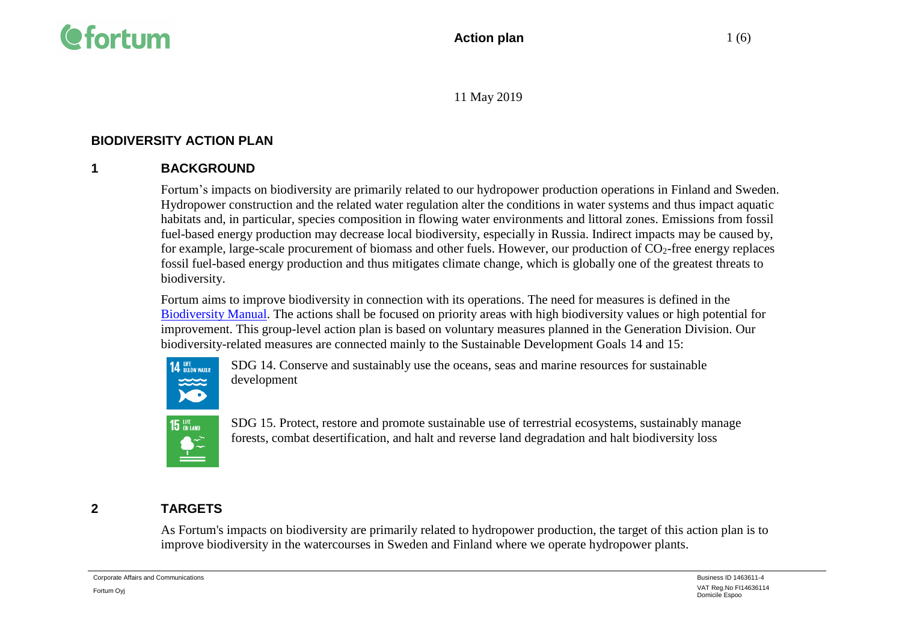

## **BIODIVERSITY ACTION PLAN**

## **1 BACKGROUND**

Fortum's impacts on biodiversity are primarily related to our hydropower production operations in Finland and Sweden. Hydropower construction and the related water regulation alter the conditions in water systems and thus impact aquatic habitats and, in particular, species composition in flowing water environments and littoral zones. Emissions from fossil fuel-based energy production may decrease local biodiversity, especially in Russia. Indirect impacts may be caused by, for example, large-scale procurement of biomass and other fuels. However, our production of CO<sub>2</sub>-free energy replaces fossil fuel-based energy production and thus mitigates climate change, which is globally one of the greatest threats to biodiversity.

Fortum aims to improve biodiversity in connection with its operations. The need for measures is defined in the [Biodiversity Manual.](https://www.fortum.fi/sites/g/files/rkxjap156/files/documents/biodiversity_manual10112017internet.pdf) The actions shall be focused on priority areas with high biodiversity values or high potential for improvement. This group-level action plan is based on voluntary measures planned in the Generation Division. Our biodiversity-related measures are connected mainly to the Sustainable Development Goals 14 and 15:



SDG 14. Conserve and sustainably use the oceans, seas and marine resources for sustainable development



SDG 15. Protect, restore and promote sustainable use of terrestrial ecosystems, sustainably manage forests, combat desertification, and halt and reverse land degradation and halt biodiversity loss

# **2 TARGETS**

As Fortum's impacts on biodiversity are primarily related to hydropower production, the target of this action plan is to improve biodiversity in the watercourses in Sweden and Finland where we operate hydropower plants.

Corporate Affairs and Communications **Exercise 2006** Corporate Affairs and Communications **Business ID 1463611-4**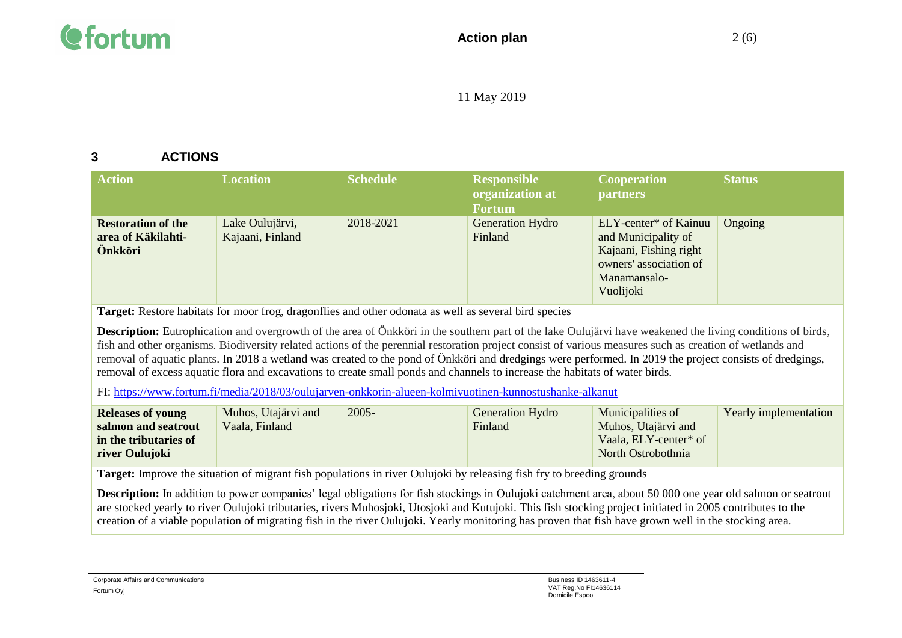

## **3 ACTIONS**

| <b>Action</b>                                              | <b>Location</b>                     | <b>Schedule</b> | <b>Responsible</b><br>organization at<br><b>Fortum</b> | <b>Cooperation</b><br><b>partners</b>                                                                                         | <b>Status</b> |
|------------------------------------------------------------|-------------------------------------|-----------------|--------------------------------------------------------|-------------------------------------------------------------------------------------------------------------------------------|---------------|
| <b>Restoration of the</b><br>area of Käkilahti-<br>Önkköri | Lake Oulujärvi,<br>Kajaani, Finland | 2018-2021       | Generation Hydro<br>Finland                            | ELY-center* of Kainuu<br>and Municipality of<br>Kajaani, Fishing right<br>owners' association of<br>Manamansalo-<br>Vuolijoki | Ongoing       |

**Target:** Restore habitats for moor frog, dragonflies and other odonata as well as several bird species

**Description:** Eutrophication and overgrowth of the area of Önkköri in the southern part of the lake Oulujärvi have weakened the living conditions of birds, fish and other organisms. Biodiversity related actions of the perennial restoration project consist of various measures such as creation of wetlands and removal of aquatic plants. In 2018 a wetland was created to the pond of Önkköri and dredgings were performed. In 2019 the project consists of dredgings, removal of excess aquatic flora and excavations to create small ponds and channels to increase the habitats of water birds.

FI:<https://www.fortum.fi/media/2018/03/oulujarven-onkkorin-alueen-kolmivuotinen-kunnostushanke-alkanut>

| <b>Releases of young</b> | Muhos, Utajärvi and | $2005 -$ | <b>Generation Hydro</b> | Municipalities of     | Yearly implementation |
|--------------------------|---------------------|----------|-------------------------|-----------------------|-----------------------|
| salmon and seatrout      | Vaala, Finland      |          | Finland                 | Muhos, Utajärvi and   |                       |
| in the tributaries of    |                     |          |                         | Vaala, ELY-center* of |                       |
| river Oulujoki           |                     |          |                         | North Ostrobothnia    |                       |
|                          |                     |          |                         |                       |                       |

**Target:** Improve the situation of migrant fish populations in river Oulujoki by releasing fish fry to breeding grounds

**Description:** In addition to power companies' legal obligations for fish stockings in Oulujoki catchment area, about 50 000 one year old salmon or seatrout are stocked yearly to river Oulujoki tributaries, rivers Muhosjoki, Utosjoki and Kutujoki. This fish stocking project initiated in 2005 contributes to the creation of a viable population of migrating fish in the river Oulujoki. Yearly monitoring has proven that fish have grown well in the stocking area.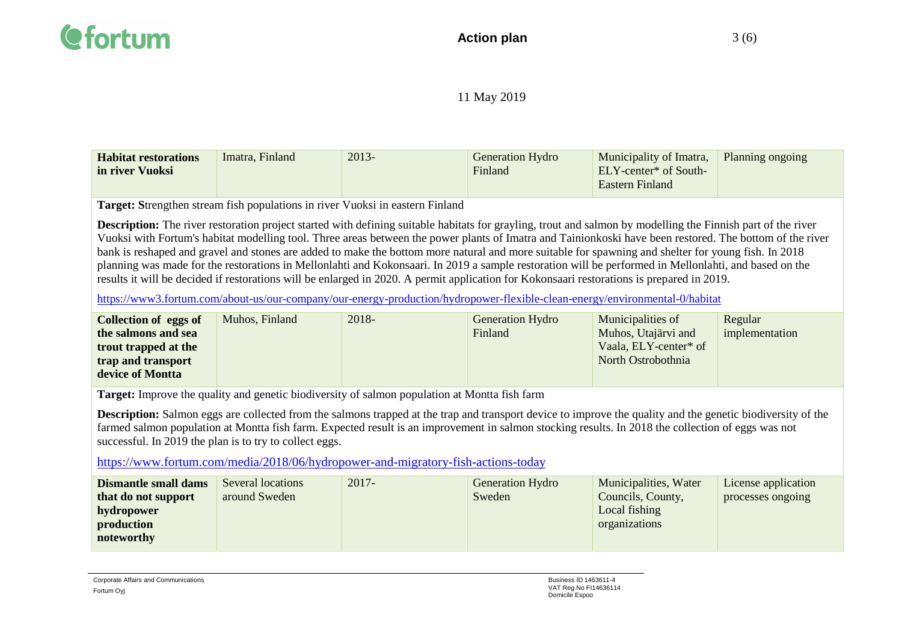| <b>Habitat restorations</b> | Imatra, Finland | 2013- | <b>Generation Hydro</b> | Municipality of Imatra,           | Planning ongoing |
|-----------------------------|-----------------|-------|-------------------------|-----------------------------------|------------------|
| in river Vuoksi             |                 |       | Finland                 | ELY-center <sup>*</sup> of South- |                  |
|                             |                 |       |                         | <b>Eastern Finland</b>            |                  |

**Target: S**trengthen stream fish populations in river Vuoksi in eastern Finland

**Description:** The river restoration project started with defining suitable habitats for grayling, trout and salmon by modelling the Finnish part of the river Vuoksi with Fortum's habitat modelling tool. Three areas between the power plants of Imatra and Tainionkoski have been restored. The bottom of the river bank is reshaped and gravel and stones are added to make the bottom more natural and more suitable for spawning and shelter for young fish. In 2018 planning was made for the restorations in Mellonlahti and Kokonsaari. In 2019 a sample restoration will be performed in Mellonlahti, and based on the results it will be decided if restorations will be enlarged in 2020. A permit application for Kokonsaari restorations is prepared in 2019.

<https://www3.fortum.com/about-us/our-company/our-energy-production/hydropower-flexible-clean-energy/environmental-0/habitat>

| <b>Collection of eggs of</b> | Muhos, Finland | $2018 -$ | <b>Generation Hydro</b> | Municipalities of     | Regular        |
|------------------------------|----------------|----------|-------------------------|-----------------------|----------------|
| the salmons and sea          |                |          | Finland                 | Muhos, Utajärvi and   | implementation |
| trout trapped at the         |                |          |                         | Vaala, ELY-center* of |                |
| trap and transport           |                |          |                         | North Ostrobothnia    |                |
| device of Montta             |                |          |                         |                       |                |
|                              |                |          |                         |                       |                |

**Target:** Improve the quality and genetic biodiversity of salmon population at Montta fish farm

**Description:** Salmon eggs are collected from the salmons trapped at the trap and transport device to improve the quality and the genetic biodiversity of the farmed salmon population at Montta fish farm. Expected result is an improvement in salmon stocking results. In 2018 the collection of eggs was not successful. In 2019 the plan is to try to collect eggs.

<https://www.fortum.com/media/2018/06/hydropower-and-migratory-fish-actions-today>

| <b>Dismantle small dams</b> | Several locations | $2017 -$ | Generation Hydro | Municipalities, Water | License application |
|-----------------------------|-------------------|----------|------------------|-----------------------|---------------------|
| that do not support         | around Sweden     |          | Sweden           | Councils, County,     | processes ongoing   |
| hydropower                  |                   |          |                  | Local fishing         |                     |
| production                  |                   |          |                  | organizations         |                     |
| noteworthy                  |                   |          |                  |                       |                     |
|                             |                   |          |                  |                       |                     |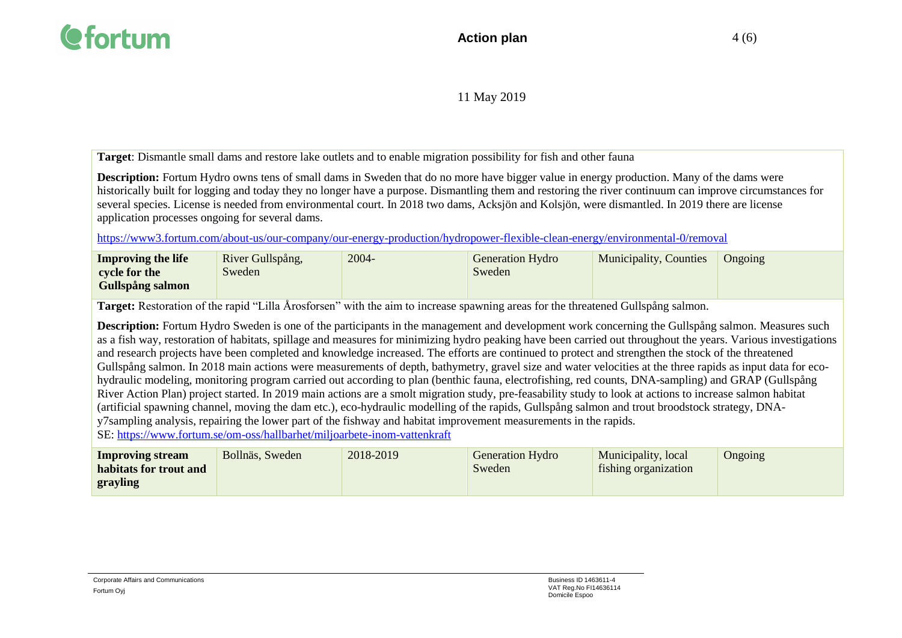

**Target**: Dismantle small dams and restore lake outlets and to enable migration possibility for fish and other fauna

**Description:** Fortum Hydro owns tens of small dams in Sweden that do no more have bigger value in energy production. Many of the dams were historically built for logging and today they no longer have a purpose. Dismantling them and restoring the river continuum can improve circumstances for several species. License is needed from environmental court. In 2018 two dams, Acksjön and Kolsjön, were dismantled. In 2019 there are license application processes ongoing for several dams.

<https://www3.fortum.com/about-us/our-company/our-energy-production/hydropower-flexible-clean-energy/environmental-0/removal>

| <b>Improving the life</b> | River Gullspång, | 2004- | <b>Generation Hydro</b> | <b>Municipality, Counties</b> | Ongoing |
|---------------------------|------------------|-------|-------------------------|-------------------------------|---------|
| cycle for the             | Sweden           |       | Sweden                  |                               |         |
| <b>Gullspång salmon</b>   |                  |       |                         |                               |         |

**Target:** Restoration of the rapid "Lilla Årosforsen" with the aim to increase spawning areas for the threatened Gullspång salmon.

**Description:** Fortum Hydro Sweden is one of the participants in the management and development work concerning the Gullspång salmon. Measures such as a fish way, restoration of habitats, spillage and measures for minimizing hydro peaking have been carried out throughout the years. Various investigations and research projects have been completed and knowledge increased. The efforts are continued to protect and strengthen the stock of the threatened Gullspång salmon. In 2018 main actions were measurements of depth, bathymetry, gravel size and water velocities at the three rapids as input data for ecohydraulic modeling, monitoring program carried out according to plan (benthic fauna, electrofishing, red counts, DNA-sampling) and GRAP (Gullspång River Action Plan) project started. In 2019 main actions are a smolt migration study, pre-feasability study to look at actions to increase salmon habitat (artificial spawning channel, moving the dam etc.), eco-hydraulic modelling of the rapids, Gullspång salmon and trout broodstock strategy, DNAy7sampling analysis, repairing the lower part of the fishway and habitat improvement measurements in the rapids.

SE:<https://www.fortum.se/om-oss/hallbarhet/miljoarbete-inom-vattenkraft>

| Improving stream       | Bollnäs, Sweden | 2018-2019 | <b>Generation Hydro</b> | Municipality, local  | Ongoing |
|------------------------|-----------------|-----------|-------------------------|----------------------|---------|
| habitats for trout and |                 |           | Sweden                  | fishing organization |         |
| grayling               |                 |           |                         |                      |         |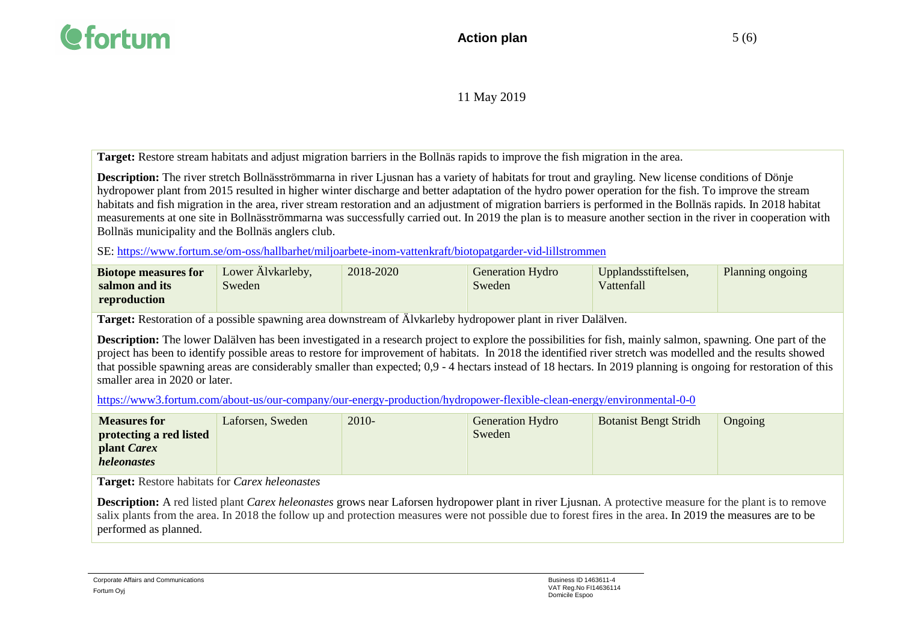

**Target:** Restore stream habitats and adjust migration barriers in the Bollnäs rapids to improve the fish migration in the area.

**Description:** The river stretch Bollnäsströmmarna in river Liusnan has a variety of habitats for trout and grayling. New license conditions of Dönie hydropower plant from 2015 resulted in higher winter discharge and better adaptation of the hydro power operation for the fish. To improve the stream habitats and fish migration in the area, river stream restoration and an adjustment of migration barriers is performed in the Bollnäs rapids. In 2018 habitat measurements at one site in Bollnäsströmmarna was successfully carried out. In 2019 the plan is to measure another section in the river in cooperation with Bollnäs municipality and the Bollnäs anglers club.

SE:<https://www.fortum.se/om-oss/hallbarhet/miljoarbete-inom-vattenkraft/biotopatgarder-vid-lillstrommen>

| <b>Biotope measures for</b> | Lower Alvkarleby, | 2018-2020 | <b>Generation Hydro</b> | Upplandsstiftelsen, | Planning ongoing |
|-----------------------------|-------------------|-----------|-------------------------|---------------------|------------------|
| salmon and its              | Sweden            |           | Sweden                  | Vattenfall          |                  |
| reproduction                |                   |           |                         |                     |                  |

**Target:** Restoration of a possible spawning area downstream of Älvkarleby hydropower plant in river Dalälven.

**Description:** The lower Dalälven has been investigated in a research project to explore the possibilities for fish, mainly salmon, spawning. One part of the project has been to identify possible areas to restore for improvement of habitats. In 2018 the identified river stretch was modelled and the results showed that possible spawning areas are considerably smaller than expected; 0,9 - 4 hectars instead of 18 hectars. In 2019 planning is ongoing for restoration of this smaller area in 2020 or later.

<https://www3.fortum.com/about-us/our-company/our-energy-production/hydropower-flexible-clean-energy/environmental-0-0>

| <b>Measures for</b>     | Laforsen, Sweden | 2010- | <b>Generation Hydro</b> | <b>Botanist Bengt Stridh</b> | Ongoing |
|-------------------------|------------------|-------|-------------------------|------------------------------|---------|
| protecting a red listed |                  |       | Sweden                  |                              |         |
| plant Carex             |                  |       |                         |                              |         |
| <i>heleonastes</i>      |                  |       |                         |                              |         |

**Target:** Restore habitats for *Carex heleonastes*

**Description:** A red listed plant *Carex heleonastes* grows near Laforsen hydropower plant in river Ljusnan. A protective measure for the plant is to remove salix plants from the area. In 2018 the follow up and protection measures were not possible due to forest fires in the area. In 2019 the measures are to be performed as planned.